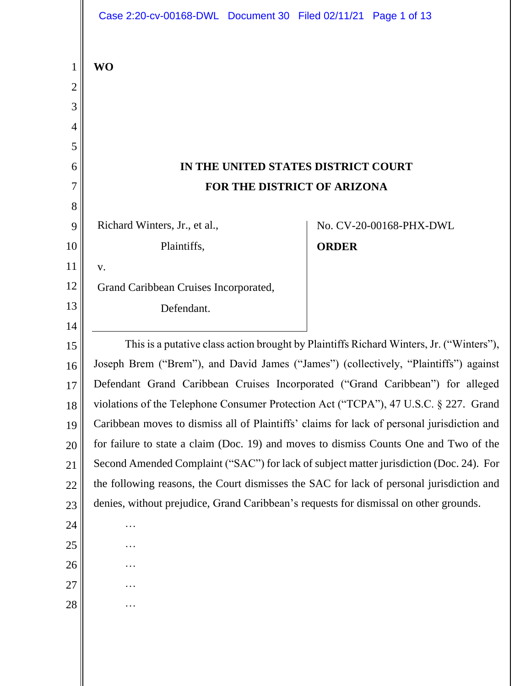|                | Case 2:20-cv-00168-DWL Document 30 Filed 02/11/21 Page 1 of 13                                                                                                                      |                         |
|----------------|-------------------------------------------------------------------------------------------------------------------------------------------------------------------------------------|-------------------------|
| $\mathbf{1}$   | <b>WO</b>                                                                                                                                                                           |                         |
| $\overline{c}$ |                                                                                                                                                                                     |                         |
| 3              |                                                                                                                                                                                     |                         |
| $\overline{4}$ |                                                                                                                                                                                     |                         |
| 5              |                                                                                                                                                                                     |                         |
| 6              | IN THE UNITED STATES DISTRICT COURT                                                                                                                                                 |                         |
| 7              | FOR THE DISTRICT OF ARIZONA                                                                                                                                                         |                         |
| 8              |                                                                                                                                                                                     |                         |
| 9              | Richard Winters, Jr., et al.,                                                                                                                                                       | No. CV-20-00168-PHX-DWL |
| 10             | Plaintiffs,                                                                                                                                                                         | <b>ORDER</b>            |
| 11             | V.                                                                                                                                                                                  |                         |
| 12             | Grand Caribbean Cruises Incorporated,                                                                                                                                               |                         |
| 13             | Defendant.                                                                                                                                                                          |                         |
| 14             |                                                                                                                                                                                     |                         |
| 15             | This is a putative class action brought by Plaintiffs Richard Winters, Jr. ("Winters"),                                                                                             |                         |
| 16             | Joseph Brem ("Brem"), and David James ("James") (collectively, "Plaintiffs") against                                                                                                |                         |
| 17             | Defendant Grand Caribbean Cruises Incorporated ("Grand Caribbean") for alleged                                                                                                      |                         |
| 18             | violations of the Telephone Consumer Protection Act ("TCPA"), 47 U.S.C. § 227. Grand                                                                                                |                         |
| 19             | Caribbean moves to dismiss all of Plaintiffs' claims for lack of personal jurisdiction and<br>for failure to state a claim (Doc. 19) and moves to dismiss Counts One and Two of the |                         |
| 20             |                                                                                                                                                                                     |                         |
| 21             | Second Amended Complaint ("SAC") for lack of subject matter jurisdiction (Doc. 24). For                                                                                             |                         |
| 22             | the following reasons, the Court dismisses the SAC for lack of personal jurisdiction and<br>denies, without prejudice, Grand Caribbean's requests for dismissal on other grounds.   |                         |
| 23             |                                                                                                                                                                                     |                         |
| 24             | .                                                                                                                                                                                   |                         |
| 25<br>26       | .                                                                                                                                                                                   |                         |
| 27             |                                                                                                                                                                                     |                         |
| 28             | .                                                                                                                                                                                   |                         |
|                |                                                                                                                                                                                     |                         |
|                |                                                                                                                                                                                     |                         |
|                |                                                                                                                                                                                     |                         |
|                |                                                                                                                                                                                     |                         |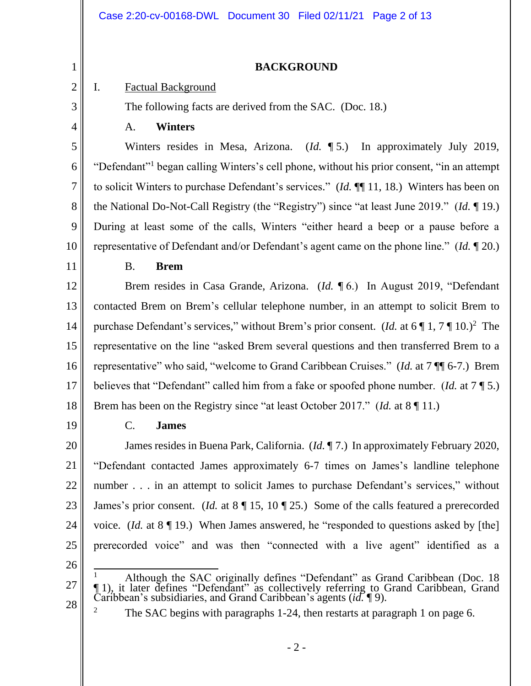### **BACKGROUND**

## I. Factual Background

The following facts are derived from the SAC. (Doc. 18.)

4

5

6

7

8

9

10

1

2

3

# A. **Winters**

Winters resides in Mesa, Arizona. (*Id.* ¶ 5.) In approximately July 2019, "Defendant"<sup>1</sup> began calling Winters's cell phone, without his prior consent, "in an attempt to solicit Winters to purchase Defendant's services." (*Id.* ¶¶ 11, 18.) Winters has been on the National Do-Not-Call Registry (the "Registry") since "at least June 2019." (*Id.* ¶ 19.) During at least some of the calls, Winters "either heard a beep or a pause before a representative of Defendant and/or Defendant's agent came on the phone line." (*Id.* ¶ 20.)

11

## B. **Brem**

12 13 14 15 16 17 18 Brem resides in Casa Grande, Arizona. (*Id.* ¶ 6.) In August 2019, "Defendant contacted Brem on Brem's cellular telephone number, in an attempt to solicit Brem to purchase Defendant's services," without Brem's prior consent. (*Id.* at 6 | 1, 7 | 10.)<sup>2</sup> The representative on the line "asked Brem several questions and then transferred Brem to a representative" who said, "welcome to Grand Caribbean Cruises." (*Id.* at 7 ¶¶ 6-7.) Brem believes that "Defendant" called him from a fake or spoofed phone number. (*Id.* at 7 ¶ 5.) Brem has been on the Registry since "at least October 2017." (*Id.* at 8 ¶ 11.)

19

## C. **James**

20 21 22 23 24 25 James resides in Buena Park, California. (*Id.* ¶ 7.) In approximately February 2020, "Defendant contacted James approximately 6-7 times on James's landline telephone number . . . in an attempt to solicit James to purchase Defendant's services," without James's prior consent. (*Id.* at 8 ¶ 15, 10 ¶ 25.) Some of the calls featured a prerecorded voice. (*Id.* at 8 ¶ 19.) When James answered, he "responded to questions asked by [the] prerecorded voice" and was then "connected with a live agent" identified as a

- 26
- 27

28

<sup>&</sup>lt;sup>1</sup> Although the SAC originally defines "Defendant" as Grand Caribbean (Doc. 18 ¶ 1), it later defines "Defendant" as collectively referring to Grand Caribbean, Grand Caribbean's subsidiaries, and Grand Caribbean's agents (*id.* ¶ 9).

<sup>&</sup>lt;sup>2</sup> The SAC begins with paragraphs 1-24, then restarts at paragraph 1 on page 6.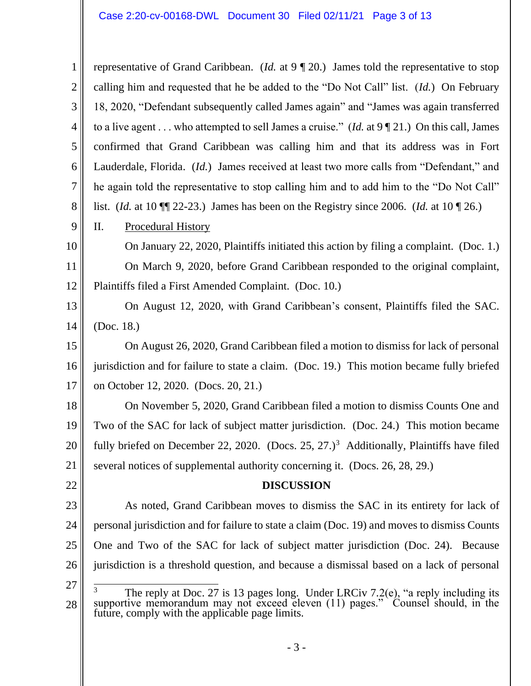1 2 3 4 5 6 7 8 9 10 11 12 13 14 15 16 17 18 19 20 21 22 23 24 25 26 27 28 representative of Grand Caribbean. (*Id.* at 9 ¶ 20.) James told the representative to stop calling him and requested that he be added to the "Do Not Call" list. (*Id.*) On February 18, 2020, "Defendant subsequently called James again" and "James was again transferred to a live agent . . . who attempted to sell James a cruise." (*Id.* at 9 ¶ 21.) On this call, James confirmed that Grand Caribbean was calling him and that its address was in Fort Lauderdale, Florida. (*Id.*) James received at least two more calls from "Defendant," and he again told the representative to stop calling him and to add him to the "Do Not Call" list. (*Id.* at 10 ¶¶ 22-23.) James has been on the Registry since 2006. (*Id.* at 10 ¶ 26.) II. Procedural History On January 22, 2020, Plaintiffs initiated this action by filing a complaint. (Doc. 1.) On March 9, 2020, before Grand Caribbean responded to the original complaint, Plaintiffs filed a First Amended Complaint. (Doc. 10.) On August 12, 2020, with Grand Caribbean's consent, Plaintiffs filed the SAC. (Doc. 18.) On August 26, 2020, Grand Caribbean filed a motion to dismiss for lack of personal jurisdiction and for failure to state a claim. (Doc. 19.) This motion became fully briefed on October 12, 2020. (Docs. 20, 21.) On November 5, 2020, Grand Caribbean filed a motion to dismiss Counts One and Two of the SAC for lack of subject matter jurisdiction. (Doc. 24.) This motion became fully briefed on December 22, 2020. (Docs.  $25$ ,  $27.$ )<sup>3</sup> Additionally, Plaintiffs have filed several notices of supplemental authority concerning it. (Docs. 26, 28, 29.) **DISCUSSION** As noted, Grand Caribbean moves to dismiss the SAC in its entirety for lack of personal jurisdiction and for failure to state a claim (Doc. 19) and moves to dismiss Counts One and Two of the SAC for lack of subject matter jurisdiction (Doc. 24). Because jurisdiction is a threshold question, and because a dismissal based on a lack of personal  $3$  The reply at Doc. 27 is 13 pages long. Under LRCiv 7.2(e), "a reply including its supportive memorandum may not exceed eleven (11) pages." Counsel should, in the future, comply with the applicable page limits.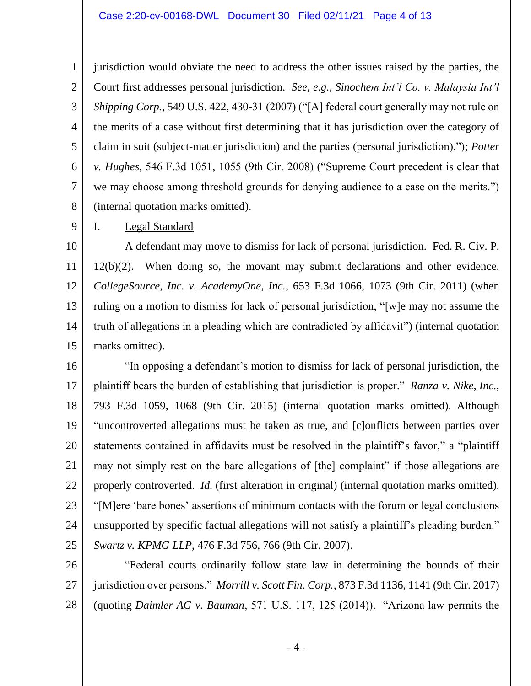#### Case 2:20-cv-00168-DWL Document 30 Filed 02/11/21 Page 4 of 13

jurisdiction would obviate the need to address the other issues raised by the parties, the Court first addresses personal jurisdiction. *See, e.g.*, *Sinochem Int'l Co. v. Malaysia Int'l Shipping Corp.*, 549 U.S. 422, 430-31 (2007) ("[A] federal court generally may not rule on the merits of a case without first determining that it has jurisdiction over the category of claim in suit (subject-matter jurisdiction) and the parties (personal jurisdiction)."); *Potter v. Hughes*, 546 F.3d 1051, 1055 (9th Cir. 2008) ("Supreme Court precedent is clear that we may choose among threshold grounds for denying audience to a case on the merits.") (internal quotation marks omitted).

I. Legal Standard

1

2

3

4

5

6

7

8

9

10 11 12 13 14 15 A defendant may move to dismiss for lack of personal jurisdiction. Fed. R. Civ. P. 12(b)(2). When doing so, the movant may submit declarations and other evidence. *CollegeSource, Inc. v. AcademyOne, Inc.*, 653 F.3d 1066, 1073 (9th Cir. 2011) (when ruling on a motion to dismiss for lack of personal jurisdiction, "[w]e may not assume the truth of allegations in a pleading which are contradicted by affidavit") (internal quotation marks omitted).

16 17 18 19 20 21 22 23 24 25 "In opposing a defendant's motion to dismiss for lack of personal jurisdiction, the plaintiff bears the burden of establishing that jurisdiction is proper." *Ranza v. Nike, Inc.*, 793 F.3d 1059, 1068 (9th Cir. 2015) (internal quotation marks omitted). Although "uncontroverted allegations must be taken as true, and [c]onflicts between parties over statements contained in affidavits must be resolved in the plaintiff's favor," a "plaintiff may not simply rest on the bare allegations of [the] complaint" if those allegations are properly controverted. *Id.* (first alteration in original) (internal quotation marks omitted). "[M]ere 'bare bones' assertions of minimum contacts with the forum or legal conclusions unsupported by specific factual allegations will not satisfy a plaintiff's pleading burden." *Swartz v. KPMG LLP*, 476 F.3d 756, 766 (9th Cir. 2007).

26 27 28 "Federal courts ordinarily follow state law in determining the bounds of their jurisdiction over persons." *Morrill v. Scott Fin. Corp.*, 873 F.3d 1136, 1141 (9th Cir. 2017) (quoting *Daimler AG v. Bauman*, 571 U.S. 117, 125 (2014)). "Arizona law permits the

- 4 -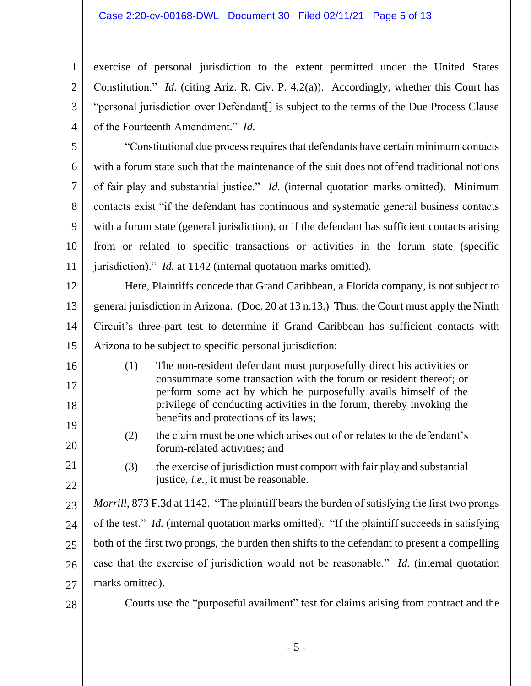exercise of personal jurisdiction to the extent permitted under the United States Constitution." *Id.* (citing Ariz. R. Civ. P. 4.2(a)). Accordingly, whether this Court has "personal jurisdiction over Defendant[] is subject to the terms of the Due Process Clause of the Fourteenth Amendment." *Id.* 

5 6 7 8 9 10 11 "Constitutional due process requires that defendants have certain minimum contacts with a forum state such that the maintenance of the suit does not offend traditional notions of fair play and substantial justice." *Id.* (internal quotation marks omitted). Minimum contacts exist "if the defendant has continuous and systematic general business contacts with a forum state (general jurisdiction), or if the defendant has sufficient contacts arising from or related to specific transactions or activities in the forum state (specific jurisdiction)." *Id.* at 1142 (internal quotation marks omitted).

12 13 14 15 Here, Plaintiffs concede that Grand Caribbean, a Florida company, is not subject to general jurisdiction in Arizona. (Doc. 20 at 13 n.13.) Thus, the Court must apply the Ninth Circuit's three-part test to determine if Grand Caribbean has sufficient contacts with Arizona to be subject to specific personal jurisdiction:

- (1) The non-resident defendant must purposefully direct his activities or consummate some transaction with the forum or resident thereof; or perform some act by which he purposefully avails himself of the privilege of conducting activities in the forum, thereby invoking the benefits and protections of its laws;
	- (2) the claim must be one which arises out of or relates to the defendant's forum-related activities; and
	- (3) the exercise of jurisdiction must comport with fair play and substantial justice, *i.e.*, it must be reasonable.

23 24 25 26 27 *Morrill*, 873 F.3d at 1142. "The plaintiff bears the burden of satisfying the first two prongs of the test." *Id.* (internal quotation marks omitted). "If the plaintiff succeeds in satisfying both of the first two prongs, the burden then shifts to the defendant to present a compelling case that the exercise of jurisdiction would not be reasonable." *Id.* (internal quotation marks omitted).

28

16

17

18

19

20

21

22

1

2

3

4

Courts use the "purposeful availment" test for claims arising from contract and the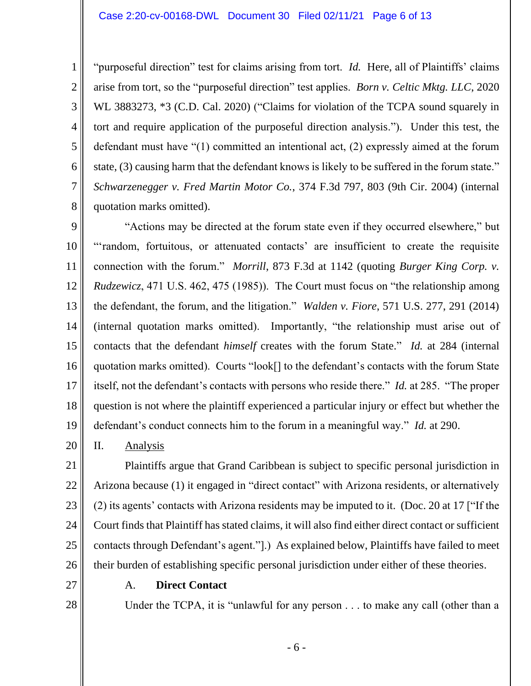"purposeful direction" test for claims arising from tort. *Id.* Here, all of Plaintiffs' claims arise from tort, so the "purposeful direction" test applies. *Born v. Celtic Mktg. LLC*, 2020 WL 3883273, \*3 (C.D. Cal. 2020) ("Claims for violation of the TCPA sound squarely in tort and require application of the purposeful direction analysis."). Under this test, the defendant must have "(1) committed an intentional act, (2) expressly aimed at the forum state, (3) causing harm that the defendant knows is likely to be suffered in the forum state." *Schwarzenegger v. Fred Martin Motor Co.*, 374 F.3d 797, 803 (9th Cir. 2004) (internal quotation marks omitted).

9 10 11 12 13 14 15 16 17 18 19 "Actions may be directed at the forum state even if they occurred elsewhere," but "'random, fortuitous, or attenuated contacts' are insufficient to create the requisite connection with the forum." *Morrill*, 873 F.3d at 1142 (quoting *Burger King Corp. v. Rudzewicz*, 471 U.S. 462, 475 (1985)). The Court must focus on "the relationship among the defendant, the forum, and the litigation." *Walden v. Fiore*, 571 U.S. 277, 291 (2014) (internal quotation marks omitted). Importantly, "the relationship must arise out of contacts that the defendant *himself* creates with the forum State." *Id.* at 284 (internal quotation marks omitted). Courts "look[] to the defendant's contacts with the forum State itself, not the defendant's contacts with persons who reside there." *Id.* at 285. "The proper question is not where the plaintiff experienced a particular injury or effect but whether the defendant's conduct connects him to the forum in a meaningful way." *Id.* at 290.

20 II. Analysis

21 22 23 24 25 26 Plaintiffs argue that Grand Caribbean is subject to specific personal jurisdiction in Arizona because (1) it engaged in "direct contact" with Arizona residents, or alternatively (2) its agents' contacts with Arizona residents may be imputed to it. (Doc. 20 at 17 ["If the Court finds that Plaintiff has stated claims, it will also find either direct contact or sufficient contacts through Defendant's agent."].) As explained below, Plaintiffs have failed to meet their burden of establishing specific personal jurisdiction under either of these theories.

27

28

1

2

3

4

5

6

7

8

A. **Direct Contact**

Under the TCPA, it is "unlawful for any person . . . to make any call (other than a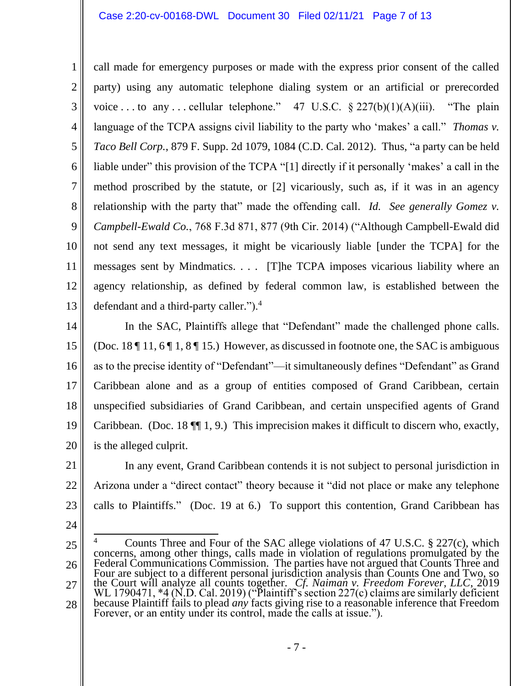#### Case 2:20-cv-00168-DWL Document 30 Filed 02/11/21 Page 7 of 13

1 2 3 4 5 6 7 8 9 10 11 12 13 call made for emergency purposes or made with the express prior consent of the called party) using any automatic telephone dialing system or an artificial or prerecorded voice ... to any ... cellular telephone." 47 U.S.C.  $\frac{227(b)(1)(A)(iii)}{2}$ . "The plain language of the TCPA assigns civil liability to the party who 'makes' a call." *Thomas v. Taco Bell Corp.*, 879 F. Supp. 2d 1079, 1084 (C.D. Cal. 2012). Thus, "a party can be held liable under" this provision of the TCPA "[1] directly if it personally 'makes' a call in the method proscribed by the statute, or [2] vicariously, such as, if it was in an agency relationship with the party that" made the offending call. *Id. See generally Gomez v. Campbell-Ewald Co.*, 768 F.3d 871, 877 (9th Cir. 2014) ("Although Campbell-Ewald did not send any text messages, it might be vicariously liable [under the TCPA] for the messages sent by Mindmatics. . . . [T]he TCPA imposes vicarious liability where an agency relationship, as defined by federal common law, is established between the defendant and a third-party caller.").<sup>4</sup>

14 15 16 17 18 19 20 In the SAC, Plaintiffs allege that "Defendant" made the challenged phone calls. (Doc. 18  $\P$  11, 6  $\P$  1, 8  $\P$  15.) However, as discussed in footnote one, the SAC is ambiguous as to the precise identity of "Defendant"—it simultaneously defines "Defendant" as Grand Caribbean alone and as a group of entities composed of Grand Caribbean, certain unspecified subsidiaries of Grand Caribbean, and certain unspecified agents of Grand Caribbean. (Doc. 18 ¶¶ 1, 9.) This imprecision makes it difficult to discern who, exactly, is the alleged culprit.

21 22 23 In any event, Grand Caribbean contends it is not subject to personal jurisdiction in Arizona under a "direct contact" theory because it "did not place or make any telephone calls to Plaintiffs." (Doc. 19 at 6.) To support this contention, Grand Caribbean has

24

<sup>25</sup> 26 27 28 <sup>4</sup> Counts Three and Four of the SAC allege violations of 47 U.S.C.  $\S 227(c)$ , which concerns, among other things, calls made in violation of regulations promulgated by the Federal Communications Commission. The parties have not argued that Counts Three and Four are subject to a different personal jurisdiction analysis than Counts One and Two, so the Court will analyze all counts together. *Cf. Naiman v. Freedom Forever, LLC*, 2019 WL 1790471, \*4 (N.D. Cal. 2019) ("Plaintiff's section 227(c) claims are similarly deficient because Plaintiff fails to plead *any* facts giving rise to a reasonable inference that Freedom Forever, or an entity under its control, made the calls at issue.").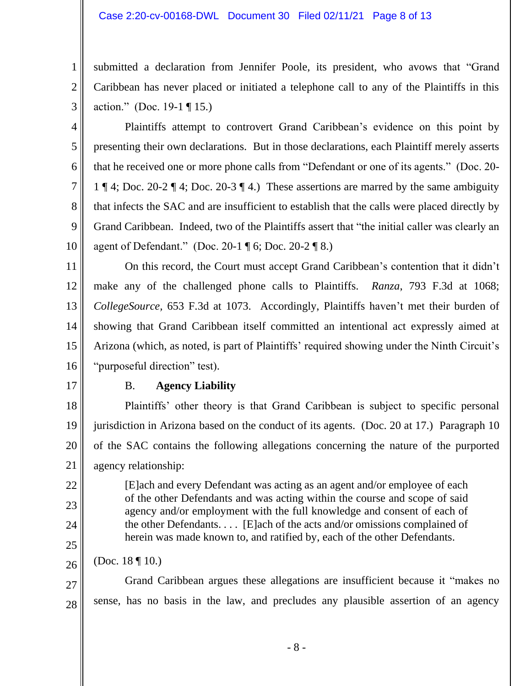### Case 2:20-cv-00168-DWL Document 30 Filed 02/11/21 Page 8 of 13

submitted a declaration from Jennifer Poole, its president, who avows that "Grand Caribbean has never placed or initiated a telephone call to any of the Plaintiffs in this action." (Doc. 19-1 ¶ 15.)

4 5 6 7 8 9 10 Plaintiffs attempt to controvert Grand Caribbean's evidence on this point by presenting their own declarations. But in those declarations, each Plaintiff merely asserts that he received one or more phone calls from "Defendant or one of its agents." (Doc. 20- 1 ¶ 4; Doc. 20-2 ¶ 4; Doc. 20-3 ¶ 4.) These assertions are marred by the same ambiguity that infects the SAC and are insufficient to establish that the calls were placed directly by Grand Caribbean. Indeed, two of the Plaintiffs assert that "the initial caller was clearly an agent of Defendant." (Doc. 20-1 ¶ 6; Doc. 20-2 ¶ 8.)

11 12 13 14 15 16 On this record, the Court must accept Grand Caribbean's contention that it didn't make any of the challenged phone calls to Plaintiffs. *Ranza*, 793 F.3d at 1068; *CollegeSource,* 653 F.3d at 1073. Accordingly, Plaintiffs haven't met their burden of showing that Grand Caribbean itself committed an intentional act expressly aimed at Arizona (which, as noted, is part of Plaintiffs' required showing under the Ninth Circuit's "purposeful direction" test).

17

22

23

24

25

1

2

3

## B. **Agency Liability**

18 19 20 21 Plaintiffs' other theory is that Grand Caribbean is subject to specific personal jurisdiction in Arizona based on the conduct of its agents. (Doc. 20 at 17.) Paragraph 10 of the SAC contains the following allegations concerning the nature of the purported agency relationship:

[E]ach and every Defendant was acting as an agent and/or employee of each of the other Defendants and was acting within the course and scope of said agency and/or employment with the full knowledge and consent of each of the other Defendants. . . . [E]ach of the acts and/or omissions complained of herein was made known to, and ratified by, each of the other Defendants.

26 (Doc. 18 ¶ 10.)

27 28 Grand Caribbean argues these allegations are insufficient because it "makes no sense, has no basis in the law, and precludes any plausible assertion of an agency

- 8 -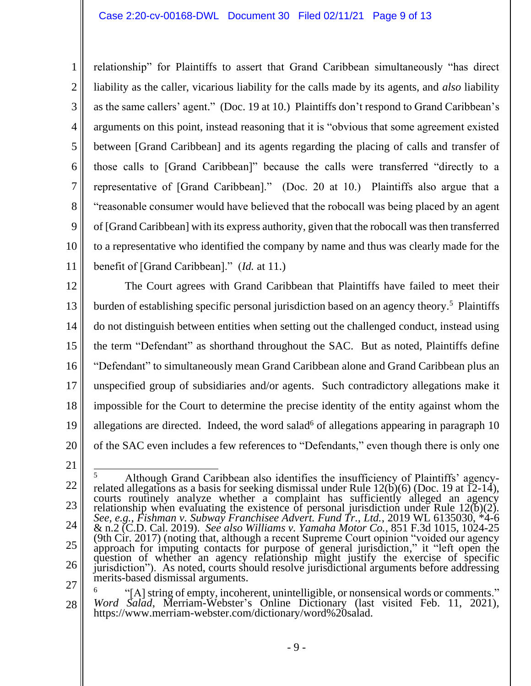2 3 4 5 6 7 8 10 relationship" for Plaintiffs to assert that Grand Caribbean simultaneously "has direct liability as the caller, vicarious liability for the calls made by its agents, and *also* liability as the same callers' agent." (Doc. 19 at 10.) Plaintiffs don't respond to Grand Caribbean's arguments on this point, instead reasoning that it is "obvious that some agreement existed between [Grand Caribbean] and its agents regarding the placing of calls and transfer of those calls to [Grand Caribbean]" because the calls were transferred "directly to a representative of [Grand Caribbean]." (Doc. 20 at 10.) Plaintiffs also argue that a "reasonable consumer would have believed that the robocall was being placed by an agent of [Grand Caribbean] with its express authority, given that the robocall was then transferred to a representative who identified the company by name and thus was clearly made for the benefit of [Grand Caribbean]." (*Id.* at 11.)

12 13 14 15 16 17 18 19 20 The Court agrees with Grand Caribbean that Plaintiffs have failed to meet their burden of establishing specific personal jurisdiction based on an agency theory. 5 Plaintiffs do not distinguish between entities when setting out the challenged conduct, instead using the term "Defendant" as shorthand throughout the SAC. But as noted, Plaintiffs define "Defendant" to simultaneously mean Grand Caribbean alone and Grand Caribbean plus an unspecified group of subsidiaries and/or agents. Such contradictory allegations make it impossible for the Court to determine the precise identity of the entity against whom the allegations are directed. Indeed, the word salad<sup>6</sup> of allegations appearing in paragraph  $10$ of the SAC even includes a few references to "Defendants," even though there is only one

21

1

9

11

<sup>22</sup> 23 24 25 26 <sup>5</sup> Although Grand Caribbean also identifies the insufficiency of Plaintiffs' agencyrelated allegations as a basis for seeking dismissal under Rule  $12(b)(6)$  (Doc. 19 at  $\overline{12}$ -14), courts routinely analyze whether a complaint has sufficiently alleged an agency relationship when evaluating the existence of personal jurisdiction under Rule  $12(b)(2)$ . *See, e.g.*, *Fishman v. Subway Franchisee Advert. Fund Tr., Ltd.*, 2019 WL 6135030, \*4-6 & n.2 (C.D. Cal. 2019). *See also Williams v. Yamaha Motor Co.*, 851 F.3d 1015, 1024-25 (9th Cir. 2017) (noting that, although a recent Supreme Court opinion "voided our agency approach for imputing contacts for purpose of general jurisdiction," it "left open the question of whether an agency relationship might justify the exercise of specific jurisdiction"). As noted, courts should resolve jurisdictional arguments before addressing merits-based dismissal arguments.

<sup>27</sup> 28 6 "[A]string of empty, incoherent, unintelligible, or nonsensical words or comments." *Word Salad*, Merriam-Webster's Online Dictionary (last visited Feb. 11, 2021), https://www.merriam-webster.com/dictionary/word%20salad.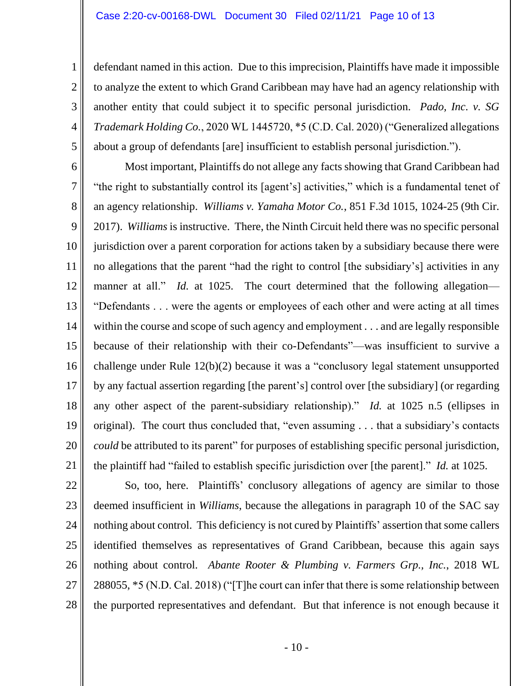defendant named in this action. Due to this imprecision, Plaintiffs have made it impossible to analyze the extent to which Grand Caribbean may have had an agency relationship with another entity that could subject it to specific personal jurisdiction. *Pado, Inc. v. SG Trademark Holding Co.*, 2020 WL 1445720, \*5 (C.D. Cal. 2020) ("Generalized allegations about a group of defendants [are] insufficient to establish personal jurisdiction.").

6 7 8 9 10 11 12 13 14 15 16 17 18 19 20 21 Most important, Plaintiffs do not allege any facts showing that Grand Caribbean had "the right to substantially control its [agent's] activities," which is a fundamental tenet of an agency relationship. *Williams v. Yamaha Motor Co.*, 851 F.3d 1015, 1024-25 (9th Cir. 2017). *Williams* is instructive. There, the Ninth Circuit held there was no specific personal jurisdiction over a parent corporation for actions taken by a subsidiary because there were no allegations that the parent "had the right to control [the subsidiary's] activities in any manner at all." *Id.* at 1025. The court determined that the following allegation— "Defendants . . . were the agents or employees of each other and were acting at all times within the course and scope of such agency and employment . . . and are legally responsible because of their relationship with their co-Defendants"—was insufficient to survive a challenge under Rule 12(b)(2) because it was a "conclusory legal statement unsupported by any factual assertion regarding [the parent's] control over [the subsidiary] (or regarding any other aspect of the parent-subsidiary relationship)." *Id.* at 1025 n.5 (ellipses in original). The court thus concluded that, "even assuming . . . that a subsidiary's contacts *could* be attributed to its parent" for purposes of establishing specific personal jurisdiction, the plaintiff had "failed to establish specific jurisdiction over [the parent]." *Id.* at 1025.

28

1

2

3

4

5

So, too, here. Plaintiffs' conclusory allegations of agency are similar to those deemed insufficient in *Williams*, because the allegations in paragraph 10 of the SAC say nothing about control. This deficiency is not cured by Plaintiffs' assertion that some callers identified themselves as representatives of Grand Caribbean, because this again says nothing about control. *Abante Rooter & Plumbing v. Farmers Grp., Inc.*, 2018 WL 288055, \*5 (N.D. Cal. 2018) ("[T]he court can infer that there is some relationship between the purported representatives and defendant. But that inference is not enough because it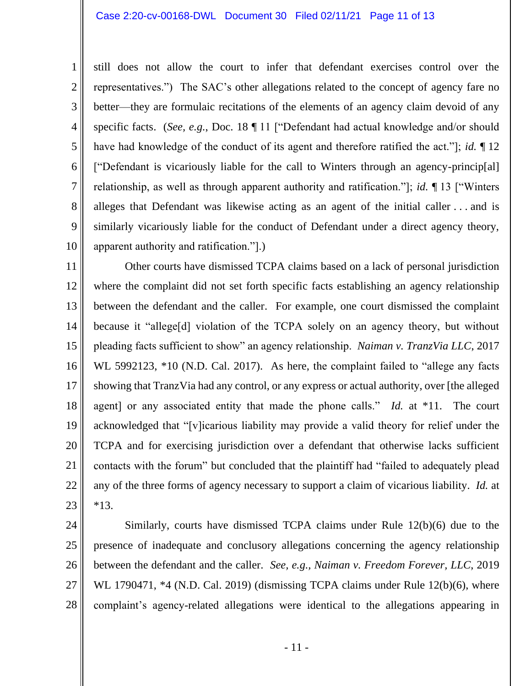1 2 3 4 5 6 7 8 9 10 still does not allow the court to infer that defendant exercises control over the representatives.") The SAC's other allegations related to the concept of agency fare no better—they are formulaic recitations of the elements of an agency claim devoid of any specific facts. (*See, e.g.*, Doc. 18 ¶ 11 ["Defendant had actual knowledge and/or should have had knowledge of the conduct of its agent and therefore ratified the act."]; *id.* ¶ 12 ["Defendant is vicariously liable for the call to Winters through an agency-princip[al] relationship, as well as through apparent authority and ratification."]; *id.* ¶ 13 ["Winters alleges that Defendant was likewise acting as an agent of the initial caller . . . and is similarly vicariously liable for the conduct of Defendant under a direct agency theory, apparent authority and ratification."].)

11 12 13 14 15 16 17 18 19 20 21 22 23 Other courts have dismissed TCPA claims based on a lack of personal jurisdiction where the complaint did not set forth specific facts establishing an agency relationship between the defendant and the caller. For example, one court dismissed the complaint because it "allege[d] violation of the TCPA solely on an agency theory, but without pleading facts sufficient to show" an agency relationship. *Naiman v. TranzVia LLC*, 2017 WL 5992123, \*10 (N.D. Cal. 2017). As here, the complaint failed to "allege any facts showing that TranzVia had any control, or any express or actual authority, over [the alleged agent] or any associated entity that made the phone calls." *Id.* at \*11. The court acknowledged that "[v]icarious liability may provide a valid theory for relief under the TCPA and for exercising jurisdiction over a defendant that otherwise lacks sufficient contacts with the forum" but concluded that the plaintiff had "failed to adequately plead any of the three forms of agency necessary to support a claim of vicarious liability. *Id.* at \*13.

24 25 26 27 28 Similarly, courts have dismissed TCPA claims under Rule 12(b)(6) due to the presence of inadequate and conclusory allegations concerning the agency relationship between the defendant and the caller. *See, e.g., Naiman v. Freedom Forever, LLC*, 2019 WL 1790471, \*4 (N.D. Cal. 2019) (dismissing TCPA claims under Rule 12(b)(6), where complaint's agency-related allegations were identical to the allegations appearing in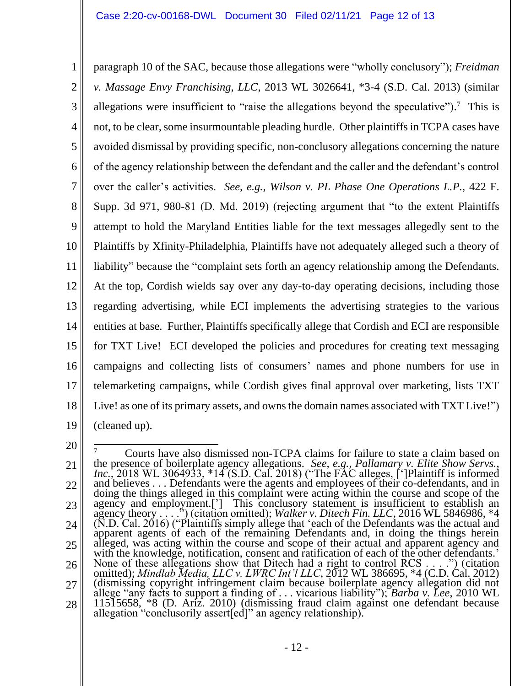1 2 3 4 5 6 7 8 9 10 11 12 13 14 15 16 17 18 19 paragraph 10 of the SAC, because those allegations were "wholly conclusory"); *Freidman v. Massage Envy Franchising, LLC*, 2013 WL 3026641, \*3-4 (S.D. Cal. 2013) (similar allegations were insufficient to "raise the allegations beyond the speculative").<sup>7</sup> This is not, to be clear, some insurmountable pleading hurdle. Other plaintiffs in TCPA cases have avoided dismissal by providing specific, non-conclusory allegations concerning the nature of the agency relationship between the defendant and the caller and the defendant's control over the caller's activities. *See, e.g., Wilson v. PL Phase One Operations L.P.*, 422 F. Supp. 3d 971, 980-81 (D. Md. 2019) (rejecting argument that "to the extent Plaintiffs attempt to hold the Maryland Entities liable for the text messages allegedly sent to the Plaintiffs by Xfinity-Philadelphia, Plaintiffs have not adequately alleged such a theory of liability" because the "complaint sets forth an agency relationship among the Defendants. At the top, Cordish wields say over any day-to-day operating decisions, including those regarding advertising, while ECI implements the advertising strategies to the various entities at base. Further, Plaintiffs specifically allege that Cordish and ECI are responsible for TXT Live! ECI developed the policies and procedures for creating text messaging campaigns and collecting lists of consumers' names and phone numbers for use in telemarketing campaigns, while Cordish gives final approval over marketing, lists TXT Live! as one of its primary assets, and owns the domain names associated with TXT Live!") (cleaned up).

<sup>20</sup>

<sup>21</sup> 22 23 24 25 26 27 28 <sup>7</sup> Courts have also dismissed non-TCPA claims for failure to state a claim based on the presence of boilerplate agency allegations. *See, e.g.*, *Pallamary v. Elite Show Servs., Inc.*, 2018 WL 3064933, \*14 (S.D. Cal. 2018) ("The FAC alleges, [']Plaintiff is informed and believes . . . Defendants were the agents and employees of their co-defendants, and in doing the things alleged in this complaint were acting within the course and scope of the agency and employment.['] This conclusory statement is insufficient to establish an agency theory . . . .") (citation omitted); *Walker v. Ditech Fin. LLC*, 2016 WL 5846986, \*4 (N.D. Cal. 2016) ("Plaintiffs simply allege that 'each of the Defendants was the actual and apparent agents of each of the remaining Defendants and, in doing the things herein alleged, was acting within the course and scope of their actual and apparent agency and with the knowledge, notification, consent and ratification of each of the other defendants.' None of these allegations show that Ditech had a right to control RCS . . . .") (citation omitted); *Mindlab Media, LLC v. LWRC Int'l LLC*, 2012 WL 386695, \*4 (C.D. Cal. 2012) (dismissing copyright infringement claim because boilerplate agency allegation did not allege "any facts to support a finding of . . . vicarious liability"); *Barba v. Lee*, 2010 WL 11515658, \*8 (D. Ariz. 2010) (dismissing fraud claim against one defendant because allegation "conclusorily assert[ed]" an agency relationship).